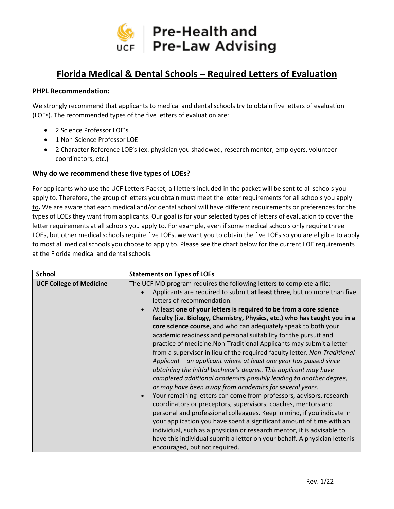

## **Florida Medical & Dental Schools – Required Letters of Evaluation**

## **PHPL Recommendation:**

We strongly recommend that applicants to medical and dental schools try to obtain five letters of evaluation (LOEs). The recommended types of the five letters of evaluation are:

- 2 Science Professor LOE's
- 1 Non-Science Professor LOE
- 2 Character Reference LOE's (ex. physician you shadowed, research mentor, employers, volunteer coordinators, etc.)

## **Why do we recommend these five types of LOEs?**

For applicants who use the UCF Letters Packet, all letters included in the packet will be sent to all schools you apply to. Therefore, the group of letters you obtain must meet the letter requirements for all schools you apply to**.** We are aware that each medical and/or dental school will have different requirements or preferences for the types of LOEs they want from applicants. Our goal is for your selected types of letters of evaluation to cover the letter requirements at all schools you apply to. For example, even if some medical schools only require three LOEs, but other medical schools require five LOEs, we want you to obtain the five LOEs so you are eligible to apply to most all medical schools you choose to apply to. Please see the chart below for the current LOE requirements at the Florida medical and dental schools.

| <b>School</b>                  | <b>Statements on Types of LOEs</b>                                                                                                                                                                                                                                                                                                                                                                                                                                                                                                                                                                                                                                                                                                                                                                                                                                                                                                                                                                                                                                                                                                                                                                                                                                                                                                                                                      |
|--------------------------------|-----------------------------------------------------------------------------------------------------------------------------------------------------------------------------------------------------------------------------------------------------------------------------------------------------------------------------------------------------------------------------------------------------------------------------------------------------------------------------------------------------------------------------------------------------------------------------------------------------------------------------------------------------------------------------------------------------------------------------------------------------------------------------------------------------------------------------------------------------------------------------------------------------------------------------------------------------------------------------------------------------------------------------------------------------------------------------------------------------------------------------------------------------------------------------------------------------------------------------------------------------------------------------------------------------------------------------------------------------------------------------------------|
| <b>UCF College of Medicine</b> | The UCF MD program requires the following letters to complete a file:<br>Applicants are required to submit at least three, but no more than five<br>letters of recommendation.<br>At least one of your letters is required to be from a core science<br>faculty (i.e. Biology, Chemistry, Physics, etc.) who has taught you in a<br>core science course, and who can adequately speak to both your<br>academic readiness and personal suitability for the pursuit and<br>practice of medicine. Non-Traditional Applicants may submit a letter<br>from a supervisor in lieu of the required faculty letter. Non-Traditional<br>Applicant – an applicant where at least one year has passed since<br>obtaining the initial bachelor's degree. This applicant may have<br>completed additional academics possibly leading to another degree,<br>or may have been away from academics for several years.<br>Your remaining letters can come from professors, advisors, research<br>coordinators or preceptors, supervisors, coaches, mentors and<br>personal and professional colleagues. Keep in mind, if you indicate in<br>your application you have spent a significant amount of time with an<br>individual, such as a physician or research mentor, it is advisable to<br>have this individual submit a letter on your behalf. A physician letter is<br>encouraged, but not required. |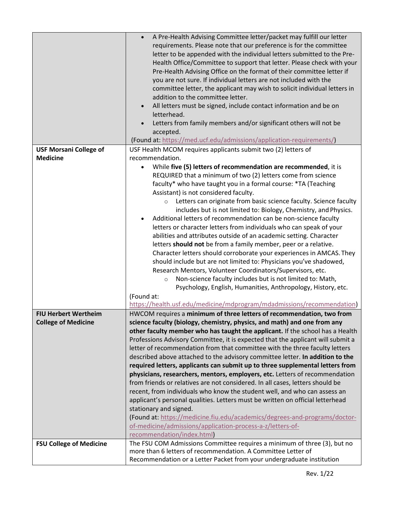|                                | A Pre-Health Advising Committee letter/packet may fulfill our letter<br>$\bullet$<br>requirements. Please note that our preference is for the committee<br>letter to be appended with the individual letters submitted to the Pre-<br>Health Office/Committee to support that letter. Please check with your<br>Pre-Health Advising Office on the format of their committee letter if<br>you are not sure. If individual letters are not included with the<br>committee letter, the applicant may wish to solicit individual letters in<br>addition to the committee letter.<br>All letters must be signed, include contact information and be on<br>letterhead.<br>Letters from family members and/or significant others will not be<br>accepted.<br>(Found at: https://med.ucf.edu/admissions/application-requirements/) |
|--------------------------------|----------------------------------------------------------------------------------------------------------------------------------------------------------------------------------------------------------------------------------------------------------------------------------------------------------------------------------------------------------------------------------------------------------------------------------------------------------------------------------------------------------------------------------------------------------------------------------------------------------------------------------------------------------------------------------------------------------------------------------------------------------------------------------------------------------------------------|
| <b>USF Morsani College of</b>  | USF Health MCOM requires applicants submit two (2) letters of                                                                                                                                                                                                                                                                                                                                                                                                                                                                                                                                                                                                                                                                                                                                                              |
| <b>Medicine</b>                | recommendation.                                                                                                                                                                                                                                                                                                                                                                                                                                                                                                                                                                                                                                                                                                                                                                                                            |
|                                | While five (5) letters of recommendation are recommended, it is                                                                                                                                                                                                                                                                                                                                                                                                                                                                                                                                                                                                                                                                                                                                                            |
|                                | REQUIRED that a minimum of two (2) letters come from science                                                                                                                                                                                                                                                                                                                                                                                                                                                                                                                                                                                                                                                                                                                                                               |
|                                | faculty* who have taught you in a formal course: *TA (Teaching                                                                                                                                                                                                                                                                                                                                                                                                                                                                                                                                                                                                                                                                                                                                                             |
|                                | Assistant) is not considered faculty.                                                                                                                                                                                                                                                                                                                                                                                                                                                                                                                                                                                                                                                                                                                                                                                      |
|                                | Letters can originate from basic science faculty. Science faculty<br>$\circ$                                                                                                                                                                                                                                                                                                                                                                                                                                                                                                                                                                                                                                                                                                                                               |
|                                | includes but is not limited to: Biology, Chemistry, and Physics.                                                                                                                                                                                                                                                                                                                                                                                                                                                                                                                                                                                                                                                                                                                                                           |
|                                | Additional letters of recommendation can be non-science faculty                                                                                                                                                                                                                                                                                                                                                                                                                                                                                                                                                                                                                                                                                                                                                            |
|                                | letters or character letters from individuals who can speak of your                                                                                                                                                                                                                                                                                                                                                                                                                                                                                                                                                                                                                                                                                                                                                        |
|                                | abilities and attributes outside of an academic setting. Character<br>letters should not be from a family member, peer or a relative.                                                                                                                                                                                                                                                                                                                                                                                                                                                                                                                                                                                                                                                                                      |
|                                | Character letters should corroborate your experiences in AMCAS. They                                                                                                                                                                                                                                                                                                                                                                                                                                                                                                                                                                                                                                                                                                                                                       |
|                                | should include but are not limited to: Physicians you've shadowed,                                                                                                                                                                                                                                                                                                                                                                                                                                                                                                                                                                                                                                                                                                                                                         |
|                                | Research Mentors, Volunteer Coordinators/Supervisors, etc.                                                                                                                                                                                                                                                                                                                                                                                                                                                                                                                                                                                                                                                                                                                                                                 |
|                                | Non-science faculty includes but is not limited to: Math,<br>$\circ$                                                                                                                                                                                                                                                                                                                                                                                                                                                                                                                                                                                                                                                                                                                                                       |
|                                | Psychology, English, Humanities, Anthropology, History, etc.                                                                                                                                                                                                                                                                                                                                                                                                                                                                                                                                                                                                                                                                                                                                                               |
|                                | (Found at:                                                                                                                                                                                                                                                                                                                                                                                                                                                                                                                                                                                                                                                                                                                                                                                                                 |
|                                | https://health.usf.edu/medicine/mdprogram/mdadmissions/recommendation)                                                                                                                                                                                                                                                                                                                                                                                                                                                                                                                                                                                                                                                                                                                                                     |
| <b>FIU Herbert Wertheim</b>    | HWCOM requires a minimum of three letters of recommendation, two from                                                                                                                                                                                                                                                                                                                                                                                                                                                                                                                                                                                                                                                                                                                                                      |
| <b>College of Medicine</b>     | science faculty (biology, chemistry, physics, and math) and one from any                                                                                                                                                                                                                                                                                                                                                                                                                                                                                                                                                                                                                                                                                                                                                   |
|                                | other faculty member who has taught the applicant. If the school has a Health                                                                                                                                                                                                                                                                                                                                                                                                                                                                                                                                                                                                                                                                                                                                              |
|                                | Professions Advisory Committee, it is expected that the applicant will submit a                                                                                                                                                                                                                                                                                                                                                                                                                                                                                                                                                                                                                                                                                                                                            |
|                                | letter of recommendation from that committee with the three faculty letters                                                                                                                                                                                                                                                                                                                                                                                                                                                                                                                                                                                                                                                                                                                                                |
|                                | described above attached to the advisory committee letter. In addition to the                                                                                                                                                                                                                                                                                                                                                                                                                                                                                                                                                                                                                                                                                                                                              |
|                                | required letters, applicants can submit up to three supplemental letters from                                                                                                                                                                                                                                                                                                                                                                                                                                                                                                                                                                                                                                                                                                                                              |
|                                | physicians, researchers, mentors, employers, etc. Letters of recommendation<br>from friends or relatives are not considered. In all cases, letters should be                                                                                                                                                                                                                                                                                                                                                                                                                                                                                                                                                                                                                                                               |
|                                | recent, from individuals who know the student well, and who can assess an                                                                                                                                                                                                                                                                                                                                                                                                                                                                                                                                                                                                                                                                                                                                                  |
|                                | applicant's personal qualities. Letters must be written on official letterhead                                                                                                                                                                                                                                                                                                                                                                                                                                                                                                                                                                                                                                                                                                                                             |
|                                | stationary and signed.                                                                                                                                                                                                                                                                                                                                                                                                                                                                                                                                                                                                                                                                                                                                                                                                     |
|                                | (Found at: https://medicine.fiu.edu/academics/degrees-and-programs/doctor-                                                                                                                                                                                                                                                                                                                                                                                                                                                                                                                                                                                                                                                                                                                                                 |
|                                | of-medicine/admissions/application-process-a-z/letters-of-                                                                                                                                                                                                                                                                                                                                                                                                                                                                                                                                                                                                                                                                                                                                                                 |
|                                | recommendation/index.html)                                                                                                                                                                                                                                                                                                                                                                                                                                                                                                                                                                                                                                                                                                                                                                                                 |
| <b>FSU College of Medicine</b> | The FSU COM Admissions Committee requires a minimum of three (3), but no                                                                                                                                                                                                                                                                                                                                                                                                                                                                                                                                                                                                                                                                                                                                                   |
|                                | more than 6 letters of recommendation. A Committee Letter of                                                                                                                                                                                                                                                                                                                                                                                                                                                                                                                                                                                                                                                                                                                                                               |
|                                | Recommendation or a Letter Packet from your undergraduate institution                                                                                                                                                                                                                                                                                                                                                                                                                                                                                                                                                                                                                                                                                                                                                      |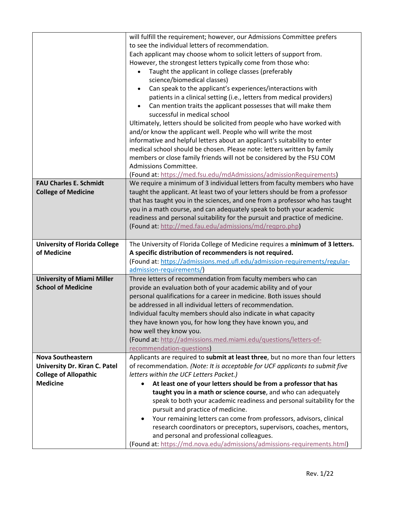|                                      | will fulfill the requirement; however, our Admissions Committee prefers                                              |
|--------------------------------------|----------------------------------------------------------------------------------------------------------------------|
|                                      | to see the individual letters of recommendation.                                                                     |
|                                      | Each applicant may choose whom to solicit letters of support from.                                                   |
|                                      | However, the strongest letters typically come from those who:                                                        |
|                                      | Taught the applicant in college classes (preferably<br>$\bullet$                                                     |
|                                      | science/biomedical classes)                                                                                          |
|                                      | Can speak to the applicant's experiences/interactions with<br>$\bullet$                                              |
|                                      | patients in a clinical setting (i.e., letters from medical providers)                                                |
|                                      | Can mention traits the applicant possesses that will make them<br>$\bullet$                                          |
|                                      | successful in medical school                                                                                         |
|                                      | Ultimately, letters should be solicited from people who have worked with                                             |
|                                      | and/or know the applicant well. People who will write the most                                                       |
|                                      | informative and helpful letters about an applicant's suitability to enter                                            |
|                                      | medical school should be chosen. Please note: letters written by family                                              |
|                                      | members or close family friends will not be considered by the FSU COM                                                |
|                                      | Admissions Committee.                                                                                                |
|                                      | (Found at: https://med.fsu.edu/mdAdmissions/admissionRequirements)                                                   |
| <b>FAU Charles E. Schmidt</b>        | We require a minimum of 3 individual letters from faculty members who have                                           |
| <b>College of Medicine</b>           | taught the applicant. At least two of your letters should be from a professor                                        |
|                                      | that has taught you in the sciences, and one from a professor who has taught                                         |
|                                      | you in a math course, and can adequately speak to both your academic                                                 |
|                                      | readiness and personal suitability for the pursuit and practice of medicine.                                         |
|                                      | (Found at: http://med.fau.edu/admissions/md/reqpro.php)                                                              |
|                                      |                                                                                                                      |
|                                      |                                                                                                                      |
| <b>University of Florida College</b> | The University of Florida College of Medicine requires a minimum of 3 letters.                                       |
| of Medicine                          | A specific distribution of recommenders is not required.                                                             |
|                                      | (Found at: https://admissions.med.ufl.edu/admission-requirements/regular-                                            |
|                                      | admission-requirements/)                                                                                             |
| <b>University of Miami Miller</b>    | Three letters of recommendation from faculty members who can                                                         |
| <b>School of Medicine</b>            | provide an evaluation both of your academic ability and of your                                                      |
|                                      | personal qualifications for a career in medicine. Both issues should                                                 |
|                                      | be addressed in all individual letters of recommendation.                                                            |
|                                      | Individual faculty members should also indicate in what capacity                                                     |
|                                      | they have known you, for how long they have known you, and                                                           |
|                                      | how well they know you.                                                                                              |
|                                      | (Found at: http://admissions.med.miami.edu/questions/letters-of-                                                     |
|                                      | recommendation-questions)                                                                                            |
| <b>Nova Southeastern</b>             | Applicants are required to submit at least three, but no more than four letters                                      |
| University Dr. Kiran C. Patel        | of recommendation. (Note: It is acceptable for UCF applicants to submit five                                         |
| <b>College of Allopathic</b>         | letters within the UCF Letters Packet.)                                                                              |
| <b>Medicine</b>                      | At least one of your letters should be from a professor that has                                                     |
|                                      | taught you in a math or science course, and who can adequately                                                       |
|                                      | speak to both your academic readiness and personal suitability for the                                               |
|                                      | pursuit and practice of medicine.                                                                                    |
|                                      | Your remaining letters can come from professors, advisors, clinical                                                  |
|                                      | research coordinators or preceptors, supervisors, coaches, mentors,                                                  |
|                                      | and personal and professional colleagues.<br>(Found at: https://md.nova.edu/admissions/admissions-requirements.html) |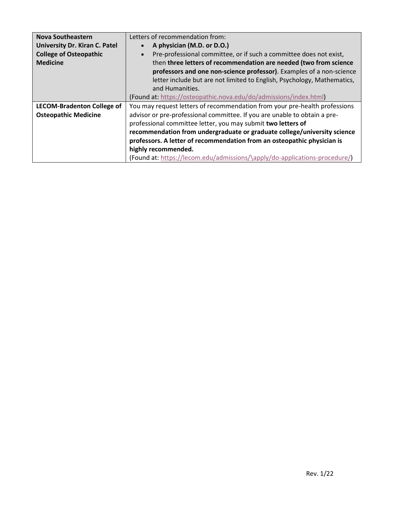| <b>Nova Southeastern</b><br><b>University Dr. Kiran C. Patel</b><br><b>College of Osteopathic</b><br><b>Medicine</b> | Letters of recommendation from:<br>A physician (M.D. or D.O.)<br>Pre-professional committee, or if such a committee does not exist,<br>then three letters of recommendation are needed (two from science<br>professors and one non-science professor). Examples of a non-science<br>letter include but are not limited to English, Psychology, Mathematics,<br>and Humanities.<br>(Found at: https://osteopathic.nova.edu/do/admissions/index.html)                                 |
|----------------------------------------------------------------------------------------------------------------------|-------------------------------------------------------------------------------------------------------------------------------------------------------------------------------------------------------------------------------------------------------------------------------------------------------------------------------------------------------------------------------------------------------------------------------------------------------------------------------------|
| <b>LECOM-Bradenton College of</b><br><b>Osteopathic Medicine</b>                                                     | You may request letters of recommendation from your pre-health professions<br>advisor or pre-professional committee. If you are unable to obtain a pre-<br>professional committee letter, you may submit two letters of<br>recommendation from undergraduate or graduate college/university science<br>professors. A letter of recommendation from an osteopathic physician is<br>highly recommended.<br>(Found at: https://lecom.edu/admissions/\apply/do-applications-procedure/) |